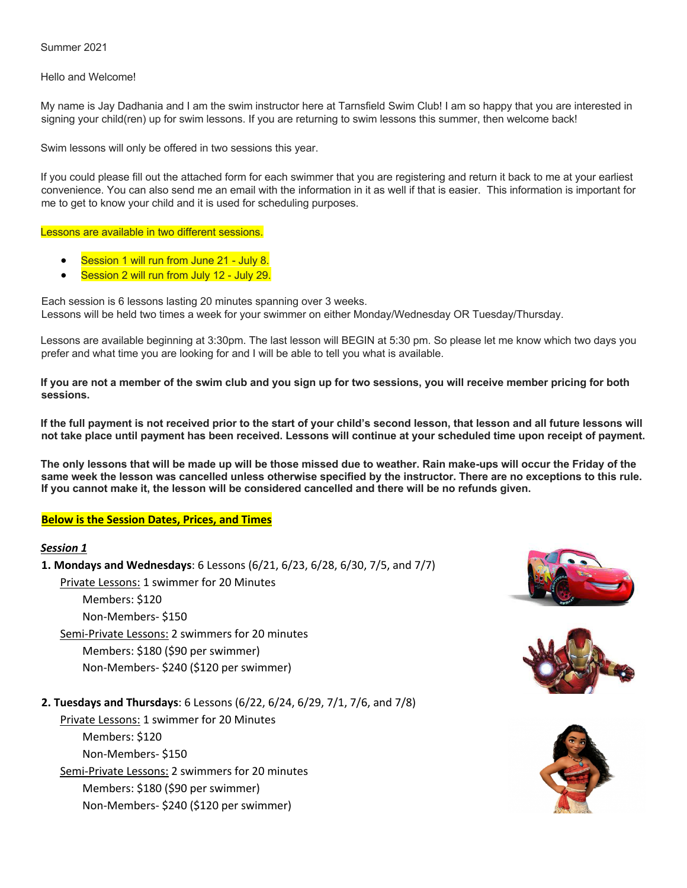Summer 2021

Hello and Welcome!

My name is Jay Dadhania and I am the swim instructor here at Tarnsfield Swim Club! I am so happy that you are interested in signing your child(ren) up for swim lessons. If you are returning to swim lessons this summer, then welcome back!

Swim lessons will only be offered in two sessions this year.

If you could please fill out the attached form for each swimmer that you are registering and return it back to me at your earliest convenience. You can also send me an email with the information in it as well if that is easier. This information is important for me to get to know your child and it is used for scheduling purposes.

Lessons are available in two different sessions.

- Session 1 will run from June 21 July 8.
- Session 2 will run from July 12 July 29.

Each session is 6 lessons lasting 20 minutes spanning over 3 weeks. Lessons will be held two times a week for your swimmer on either Monday/Wednesday OR Tuesday/Thursday.

Lessons are available beginning at 3:30pm. The last lesson will BEGIN at 5:30 pm. So please let me know which two days you prefer and what time you are looking for and I will be able to tell you what is available.

**If you are not a member of the swim club and you sign up for two sessions, you will receive member pricing for both sessions.** 

**If the full payment is not received prior to the start of your child's second lesson, that lesson and all future lessons will not take place until payment has been received. Lessons will continue at your scheduled time upon receipt of payment.**

**The only lessons that will be made up will be those missed due to weather. Rain make-ups will occur the Friday of the same week the lesson was cancelled unless otherwise specified by the instructor. There are no exceptions to this rule. If you cannot make it, the lesson will be considered cancelled and there will be no refunds given.** 

## **Below is the Session Dates, Prices, and Times**

#### *Session 1*

**1. Mondays and Wednesdays**: 6 Lessons (6/21, 6/23, 6/28, 6/30, 7/5, and 7/7)

Private Lessons: 1 swimmer for 20 Minutes

 Members: \$120 Non-Members- \$150

Semi-Private Lessons: 2 swimmers for 20 minutes

Members: \$180 (\$90 per swimmer)

Non-Members- \$240 (\$120 per swimmer)

**2. Tuesdays and Thursdays**: 6 Lessons (6/22, 6/24, 6/29, 7/1, 7/6, and 7/8)

 Private Lessons: 1 swimmer for 20 Minutes Members: \$120 Non-Members- \$150 Semi-Private Lessons: 2 swimmers for 20 minutes Members: \$180 (\$90 per swimmer) Non-Members- \$240 (\$120 per swimmer)





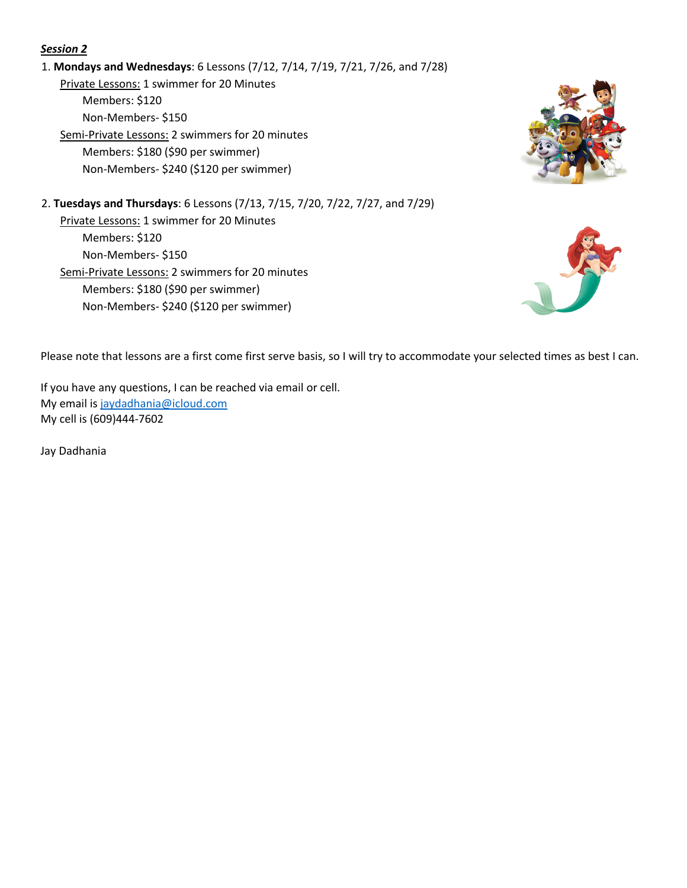# *Session 2*

# 1. **Mondays and Wednesdays**: 6 Lessons (7/12, 7/14, 7/19, 7/21, 7/26, and 7/28)

 Private Lessons: 1 swimmer for 20 Minutes Members: \$120 Non-Members- \$150

 Semi-Private Lessons: 2 swimmers for 20 minutes Members: \$180 (\$90 per swimmer) Non-Members- \$240 (\$120 per swimmer)



2. **Tuesdays and Thursdays**: 6 Lessons (7/13, 7/15, 7/20, 7/22, 7/27, and 7/29) Private Lessons: 1 swimmer for 20 Minutes Members: \$120 Non-Members- \$150 Semi-Private Lessons: 2 swimmers for 20 minutes Members: \$180 (\$90 per swimmer) Non-Members- \$240 (\$120 per swimmer)



Please note that lessons are a first come first serve basis, so I will try to accommodate your selected times as best I can.

If you have any questions, I can be reached via email or cell. My email is jaydadhania@icloud.com My cell is (609)444-7602

Jay Dadhania